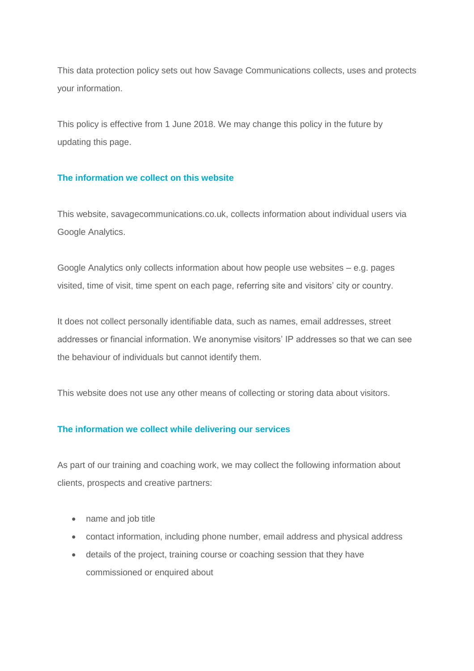This data protection policy sets out how Savage Communications collects, uses and protects your information.

This policy is effective from 1 June 2018. We may change this policy in the future by updating this page.

#### **The information we collect on this website**

This website, savagecommunications.co.uk, collects information about individual users via Google Analytics.

Google Analytics only collects information about how people use websites – e.g. pages visited, time of visit, time spent on each page, referring site and visitors' city or country.

It does not collect personally identifiable data, such as names, email addresses, street addresses or financial information. We anonymise visitors' IP addresses so that we can see the behaviour of individuals but cannot identify them.

This website does not use any other means of collecting or storing data about visitors.

#### **The information we collect while delivering our services**

As part of our training and coaching work, we may collect the following information about clients, prospects and creative partners:

- name and job title
- contact information, including phone number, email address and physical address
- details of the project, training course or coaching session that they have commissioned or enquired about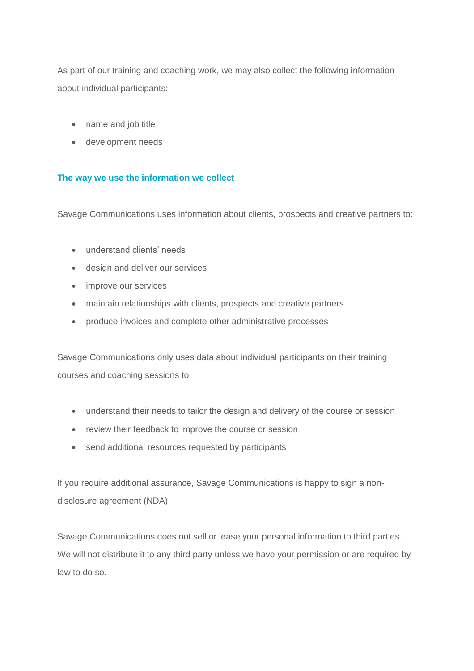As part of our training and coaching work, we may also collect the following information about individual participants:

- name and job title
- development needs

# **The way we use the information we collect**

Savage Communications uses information about clients, prospects and creative partners to:

- understand clients' needs
- design and deliver our services
- improve our services
- maintain relationships with clients, prospects and creative partners
- produce invoices and complete other administrative processes

Savage Communications only uses data about individual participants on their training courses and coaching sessions to:

- understand their needs to tailor the design and delivery of the course or session
- review their feedback to improve the course or session
- send additional resources requested by participants

If you require additional assurance, Savage Communications is happy to sign a nondisclosure agreement (NDA).

Savage Communications does not sell or lease your personal information to third parties. We will not distribute it to any third party unless we have your permission or are required by law to do so.